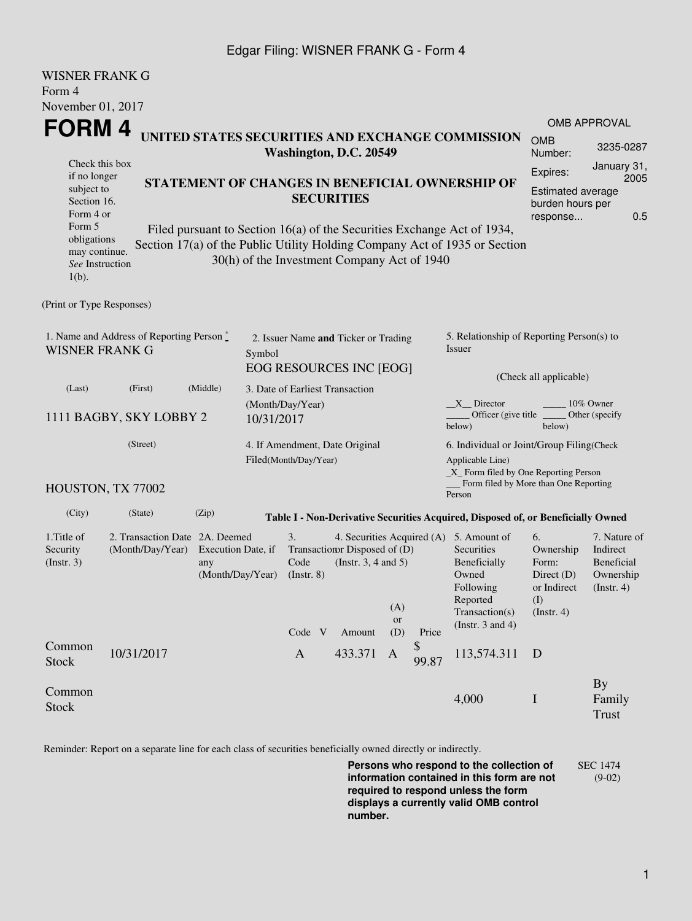## Edgar Filing: WISNER FRANK G - Form 4

WISNER FRANK C

| WISINER FRAINR U<br>Form 4                                                                                                                        |                                                                                                                                                                                                          |                                                                                 |                                                                  |                                                                                             |                                                         |                                                                                                                                                    |                      |                                                                                                                                               |                                                                                    |                                                                    |  |  |
|---------------------------------------------------------------------------------------------------------------------------------------------------|----------------------------------------------------------------------------------------------------------------------------------------------------------------------------------------------------------|---------------------------------------------------------------------------------|------------------------------------------------------------------|---------------------------------------------------------------------------------------------|---------------------------------------------------------|----------------------------------------------------------------------------------------------------------------------------------------------------|----------------------|-----------------------------------------------------------------------------------------------------------------------------------------------|------------------------------------------------------------------------------------|--------------------------------------------------------------------|--|--|
| November 01, 2017                                                                                                                                 |                                                                                                                                                                                                          |                                                                                 |                                                                  |                                                                                             |                                                         |                                                                                                                                                    |                      |                                                                                                                                               |                                                                                    | OMB APPROVAL                                                       |  |  |
| FORM 4<br>UNITED STATES SECURITIES AND EXCHANGE COMMISSION<br>Washington, D.C. 20549                                                              |                                                                                                                                                                                                          |                                                                                 |                                                                  |                                                                                             |                                                         |                                                                                                                                                    |                      |                                                                                                                                               | <b>OMB</b><br>Number:                                                              | 3235-0287                                                          |  |  |
| Check this box<br>if no longer<br>subject to<br>Section 16.<br>Form 4 or<br>Form 5<br>obligations<br>may continue.<br>See Instruction<br>$1(b)$ . | STATEMENT OF CHANGES IN BENEFICIAL OWNERSHIP OF<br>Filed pursuant to Section 16(a) of the Securities Exchange Act of 1934,<br>Section 17(a) of the Public Utility Holding Company Act of 1935 or Section |                                                                                 | <b>SECURITIES</b><br>30(h) of the Investment Company Act of 1940 | January 31,<br>Expires:<br>2005<br><b>Estimated average</b><br>burden hours per<br>response |                                                         |                                                                                                                                                    |                      |                                                                                                                                               |                                                                                    |                                                                    |  |  |
| (Print or Type Responses)                                                                                                                         |                                                                                                                                                                                                          |                                                                                 |                                                                  |                                                                                             |                                                         |                                                                                                                                                    |                      |                                                                                                                                               |                                                                                    |                                                                    |  |  |
| 1. Name and Address of Reporting Person $\degree$<br><b>WISNER FRANK G</b>                                                                        | 2. Issuer Name and Ticker or Trading<br>Symbol<br>EOG RESOURCES INC [EOG]                                                                                                                                |                                                                                 |                                                                  |                                                                                             |                                                         | 5. Relationship of Reporting Person(s) to<br>Issuer                                                                                                |                      |                                                                                                                                               |                                                                                    |                                                                    |  |  |
| (Last)                                                                                                                                            | (Middle)<br>(First)                                                                                                                                                                                      |                                                                                 |                                                                  |                                                                                             | 3. Date of Earliest Transaction                         |                                                                                                                                                    |                      | (Check all applicable)                                                                                                                        |                                                                                    |                                                                    |  |  |
| 1111 BAGBY, SKY LOBBY 2                                                                                                                           | (Month/Day/Year)<br>10/31/2017                                                                                                                                                                           |                                                                                 |                                                                  |                                                                                             |                                                         | X Director<br>10% Owner<br>Officer (give title _<br>Other (specify<br>below)<br>below)                                                             |                      |                                                                                                                                               |                                                                                    |                                                                    |  |  |
| HOUSTON, TX 77002                                                                                                                                 | 4. If Amendment, Date Original<br>Filed(Month/Day/Year)                                                                                                                                                  |                                                                                 |                                                                  |                                                                                             |                                                         | 6. Individual or Joint/Group Filing(Check<br>Applicable Line)<br>$\_X$ Form filed by One Reporting Person<br>Form filed by More than One Reporting |                      |                                                                                                                                               |                                                                                    |                                                                    |  |  |
| (City)                                                                                                                                            | (State)                                                                                                                                                                                                  | (Zip)                                                                           |                                                                  |                                                                                             |                                                         |                                                                                                                                                    |                      | Person<br>Table I - Non-Derivative Securities Acquired, Disposed of, or Beneficially Owned                                                    |                                                                                    |                                                                    |  |  |
| 1. Title of<br>Security<br>(Insert. 3)                                                                                                            | (Month/Day/Year)                                                                                                                                                                                         | 2. Transaction Date 2A. Deemed<br>Execution Date, if<br>any<br>(Month/Day/Year) |                                                                  |                                                                                             | Transaction Disposed of (D)<br>(Instr. $3, 4$ and $5$ ) | (A)<br><b>or</b>                                                                                                                                   |                      | 4. Securities Acquired (A) 5. Amount of<br>Securities<br>Beneficially<br>Owned<br>Following<br>Reported<br>Transaction(s)<br>(Instr. 3 and 4) | 6.<br>Ownership<br>Form:<br>Direct $(D)$<br>or Indirect<br>(I)<br>$($ Instr. 4 $)$ | 7. Nature of<br>Indirect<br>Beneficial<br>Ownership<br>(Insert. 4) |  |  |
| Common<br>Stock                                                                                                                                   | 10/31/2017                                                                                                                                                                                               |                                                                                 |                                                                  | Code V<br>$\mathbf{A}$                                                                      | Amount<br>433.371                                       | (D)<br>A                                                                                                                                           | Price<br>\$<br>99.87 | 113,574.311                                                                                                                                   | D                                                                                  |                                                                    |  |  |
| Common<br><b>Stock</b>                                                                                                                            |                                                                                                                                                                                                          |                                                                                 |                                                                  |                                                                                             |                                                         |                                                                                                                                                    |                      | 4,000                                                                                                                                         | $\mathbf I$                                                                        | <b>By</b><br>Family<br><b>Trust</b>                                |  |  |

Reminder: Report on a separate line for each class of securities beneficially owned directly or indirectly.

**Persons who respond to the collection of information contained in this form are not required to respond unless the form displays a currently valid OMB control number.** SEC 1474 (9-02)